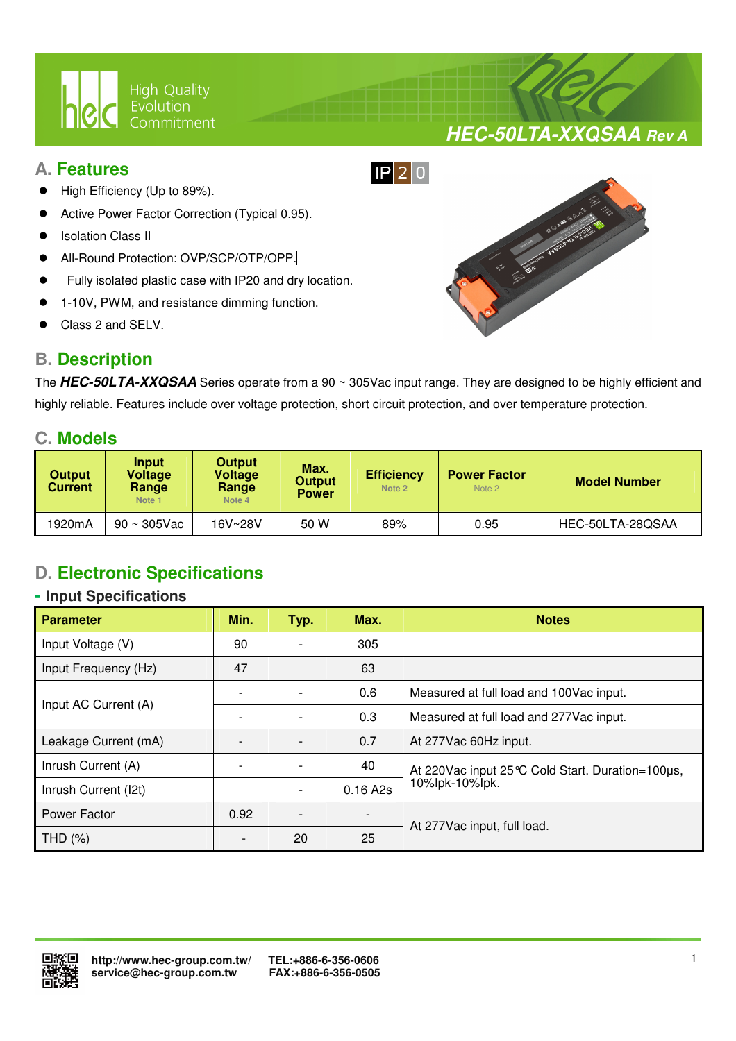

### **A. Features**

- High Efficiency (Up to 89%).
- Active Power Factor Correction (Typical 0.95).
- Isolation Class II
- All-Round Protection: OVP/SCP/OTP/OPP.
- Fully isolated plastic case with IP20 and dry location.

 $\overline{a}$ 

- 1-10V, PWM, and resistance dimming function.
- Class 2 and SELV.

## **B. Description**



**HEC-50LTA-XXQSAA Rev A**

The **HEC-50LTA-XXQSAA** Series operate from a 90 ~ 305Vac input range. They are designed to be highly efficient and highly reliable. Features include over voltage protection, short circuit protection, and over temperature protection.

### **C. Models**

| <b>Output</b><br><b>Current</b> | <b>Input</b><br>Voltage<br>Range<br>Note 1 | <b>Output</b><br><b>Voltage</b><br>Range<br>Note 4 | Max.<br><b>Output</b><br><b>Power</b> | <b>Efficiency</b><br>Note 2 | <b>Power Factor</b><br>Note 2 | <b>Model Number</b> |  |
|---------------------------------|--------------------------------------------|----------------------------------------------------|---------------------------------------|-----------------------------|-------------------------------|---------------------|--|
| 1920mA                          | $90 \sim 305$ Vac                          | 16V~28V                                            | 50 W                                  | 89%                         | 0.95                          | HEC-50LTA-28QSAA    |  |

# **D. Electronic Specifications**

### **- Input Specifications**

| <b>Parameter</b>     | Min.                     | Typ. | Max.     | <b>Notes</b>                                     |  |
|----------------------|--------------------------|------|----------|--------------------------------------------------|--|
| Input Voltage (V)    | 90                       |      | 305      |                                                  |  |
| Input Frequency (Hz) | 47                       |      | 63       |                                                  |  |
| Input AC Current (A) |                          |      | 0.6      | Measured at full load and 100Vac input.          |  |
|                      |                          |      | 0.3      | Measured at full load and 277Vac input.          |  |
| Leakage Current (mA) |                          |      | 0.7      | At 277 Vac 60Hz input.                           |  |
| Inrush Current (A)   |                          |      | 40       | At 220Vac input 25 ℃ Cold Start. Duration=100µs, |  |
| Inrush Current (I2t) |                          |      | 0.16 A2s | 10%lpk-10%lpk.                                   |  |
| Power Factor         | 0.92                     |      |          | At 277Vac input, full load.                      |  |
| THD (%)              | $\overline{\phantom{0}}$ | 20   | 25       |                                                  |  |

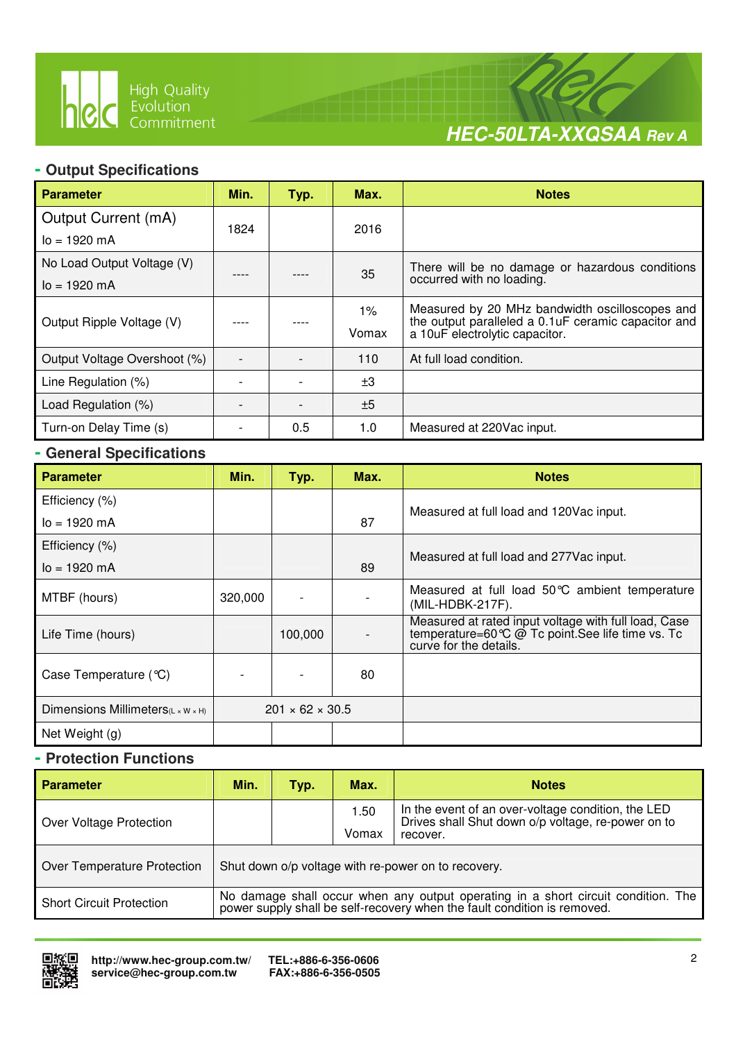

 $\overline{a}$ 



### **- Output Specifications**

| <b>Parameter</b>             | Min. | Typ. | Max.  | <b>Notes</b>                                                                                           |  |
|------------------------------|------|------|-------|--------------------------------------------------------------------------------------------------------|--|
| Output Current (mA)          | 1824 |      | 2016  |                                                                                                        |  |
| $I_0 = 1920$ mA              |      |      |       |                                                                                                        |  |
| No Load Output Voltage (V)   |      |      | 35    | There will be no damage or hazardous conditions<br>occurred with no loading.                           |  |
| $I_0 = 1920$ mA              |      |      |       |                                                                                                        |  |
|                              |      |      | $1\%$ | Measured by 20 MHz bandwidth oscilloscopes and<br>the output paralleled a 0.1 uF ceramic capacitor and |  |
| Output Ripple Voltage (V)    |      |      | Vomax | a 10uF electrolytic capacitor.                                                                         |  |
| Output Voltage Overshoot (%) |      |      | 110   | At full load condition.                                                                                |  |
| Line Regulation (%)          |      |      | ±3    |                                                                                                        |  |
| Load Regulation (%)          |      |      | ±5    |                                                                                                        |  |
| Turn-on Delay Time (s)       |      | 0.5  | 1.0   | Measured at 220Vac input.                                                                              |  |

### **- General Specifications**

| <b>Parameter</b>                               | Min.    | Typ.                        | Max. | <b>Notes</b>                                                                                                                        |  |
|------------------------------------------------|---------|-----------------------------|------|-------------------------------------------------------------------------------------------------------------------------------------|--|
| Efficiency (%)                                 |         |                             |      |                                                                                                                                     |  |
| $I_0 = 1920$ mA                                |         | 87                          |      | Measured at full load and 120Vac input.                                                                                             |  |
| Efficiency (%)                                 |         |                             |      |                                                                                                                                     |  |
| $I_0 = 1920$ mA                                |         |                             | 89   | Measured at full load and 277 Vac input.                                                                                            |  |
| MTBF (hours)                                   | 320,000 |                             |      | Measured at full load 50°C ambient temperature<br>(MIL-HDBK-217F).                                                                  |  |
| Life Time (hours)                              |         | 100,000                     |      | Measured at rated input voltage with full load, Case<br>temperature=60 ℃ @ Tc point. See life time vs. Tc<br>curve for the details. |  |
| Case Temperature (°C)                          |         |                             | 80   |                                                                                                                                     |  |
| Dimensions Millimeters $(L \times W \times H)$ |         | $201 \times 62 \times 30.5$ |      |                                                                                                                                     |  |
| Net Weight (g)                                 |         |                             |      |                                                                                                                                     |  |

### **- Protection Functions**

| <b>Parameter</b>                | Min.                                                                                                                                                          | Typ. | Max.          | <b>Notes</b>                                                                                                         |  |
|---------------------------------|---------------------------------------------------------------------------------------------------------------------------------------------------------------|------|---------------|----------------------------------------------------------------------------------------------------------------------|--|
| Over Voltage Protection         |                                                                                                                                                               |      | 1.50<br>Vomax | In the event of an over-voltage condition, the LED<br>Drives shall Shut down o/p voltage, re-power on to<br>recover. |  |
| Over Temperature Protection     | Shut down o/p voltage with re-power on to recovery.                                                                                                           |      |               |                                                                                                                      |  |
| <b>Short Circuit Protection</b> | No damage shall occur when any output operating in a short circuit condition. The<br>power supply shall be self-recovery when the fault condition is removed. |      |               |                                                                                                                      |  |

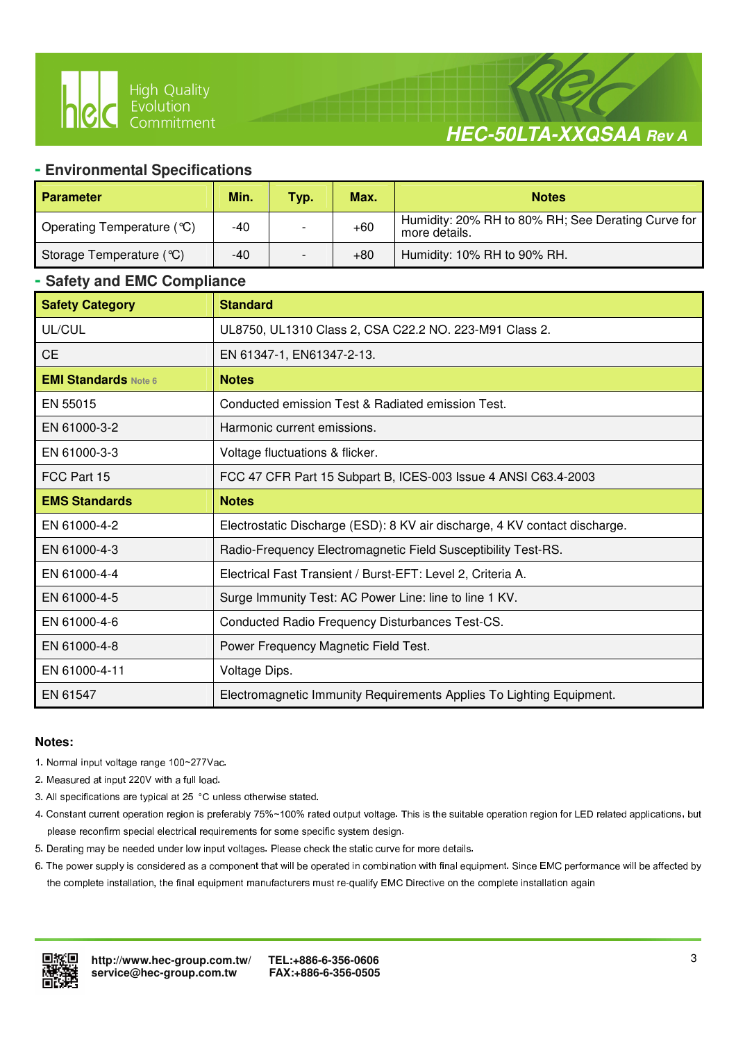

# **HEC-50LTA-XXQSAA Rev A**

#### **- Environmental Specifications**

 $\overline{a}$ 

| <b>Parameter</b>           | Min.  | Typ. | Max.  | <b>Notes</b>                                                        |
|----------------------------|-------|------|-------|---------------------------------------------------------------------|
| Operating Temperature (°C) | -40   |      | $+60$ | Humidity: 20% RH to 80% RH; See Derating Curve for<br>more details. |
| Storage Temperature (°C)   | $-40$ |      | $+80$ | Humidity: 10% RH to 90% RH.                                         |

#### **- Safety and EMC Compliance**

| <b>Safety Category</b>      | <b>Standard</b>                                                            |
|-----------------------------|----------------------------------------------------------------------------|
| UL/CUL                      | UL8750, UL1310 Class 2, CSA C22.2 NO. 223-M91 Class 2.                     |
| <b>CE</b>                   | EN 61347-1, EN61347-2-13.                                                  |
| <b>EMI Standards Note 6</b> | <b>Notes</b>                                                               |
| EN 55015                    | Conducted emission Test & Radiated emission Test.                          |
| EN 61000-3-2                | Harmonic current emissions.                                                |
| EN 61000-3-3                | Voltage fluctuations & flicker.                                            |
| FCC Part 15                 | FCC 47 CFR Part 15 Subpart B, ICES-003 Issue 4 ANSI C63.4-2003             |
| <b>EMS Standards</b>        | <b>Notes</b>                                                               |
| EN 61000-4-2                | Electrostatic Discharge (ESD): 8 KV air discharge, 4 KV contact discharge. |
| EN 61000-4-3                | Radio-Frequency Electromagnetic Field Susceptibility Test-RS.              |
| EN 61000-4-4                | Electrical Fast Transient / Burst-EFT: Level 2, Criteria A.                |
| EN 61000-4-5                | Surge Immunity Test: AC Power Line: line to line 1 KV.                     |
| EN 61000-4-6                | Conducted Radio Frequency Disturbances Test-CS.                            |
| EN 61000-4-8                | Power Frequency Magnetic Field Test.                                       |
| EN 61000-4-11               | Voltage Dips.                                                              |
| EN 61547                    | Electromagnetic Immunity Requirements Applies To Lighting Equipment.       |

#### **Notes:**

- 1. Normal input voltage range 100~277Vac.
- 2. Measured at input 220V with a full load.
- 3. All specifications are typical at 25 °C unless otherwise stated.
- 4. Constant current operation region is preferably 75%~100% rated output voltage. This is the suitable operation region for LED related applications, but please reconfirm special electrical requirements for some specific system design.
- 5. Derating may be needed under low input voltages. Please check the static curve for more details.
- 6. The power supply is considered as a component that will be operated in combination with final equipment. Since EMC performance will be affected by the complete installation, the final equipment manufacturers must re-qualify EMC Directive on the complete installation again

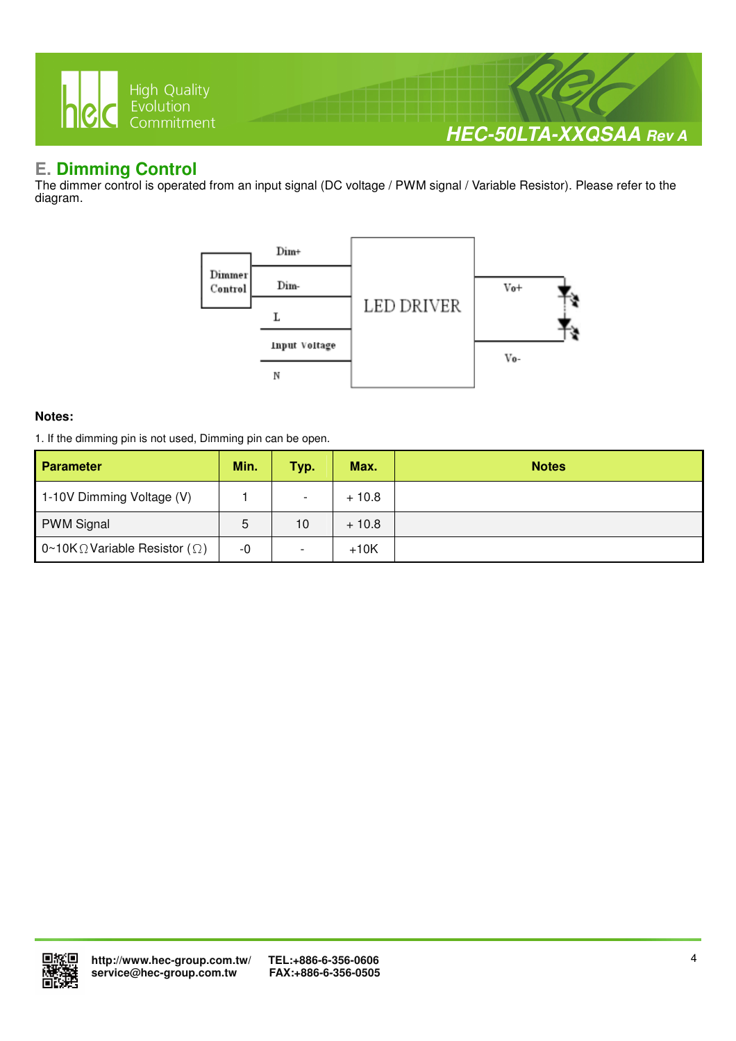

## **E. Dimming Control**

The dimmer control is operated from an input signal (DC voltage / PWM signal / Variable Resistor). Please refer to the diagram.



#### **Notes:**

1. If the dimming pin is not used, Dimming pin can be open.

| <b>Parameter</b>                              | Min. | Typ.                     | Max.    | <b>Notes</b> |
|-----------------------------------------------|------|--------------------------|---------|--------------|
| 1-10V Dimming Voltage (V)                     |      | $\overline{\phantom{0}}$ | $+10.8$ |              |
| <b>PWM Signal</b>                             | 5    | 10                       | $+10.8$ |              |
| 0~10K $\Omega$ Variable Resistor ( $\Omega$ ) | -0   | $\overline{\phantom{a}}$ | $+10K$  |              |

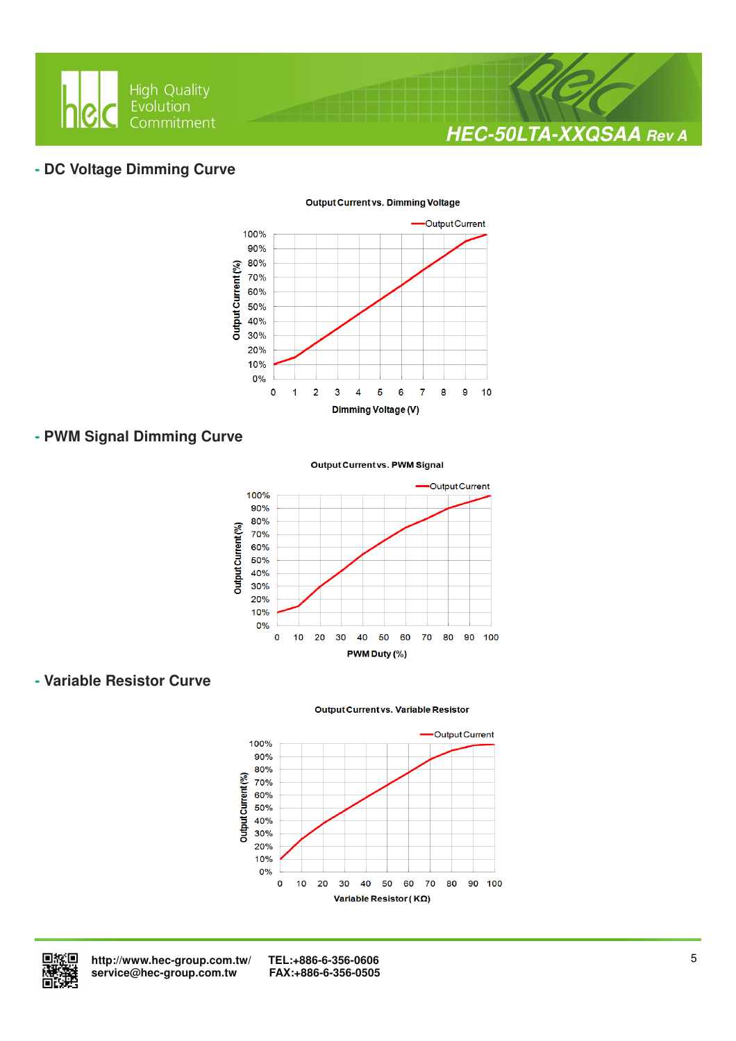

### **- DC Voltage Dimming Curve**



#### **Output Current vs. Dimming Voltage**

### **- PWM Signal Dimming Curve**

#### **Output Current vs. PWM Signal**



### **- Variable Resistor Curve**

#### **Output Current vs. Variable Resistor**





 **http://www.hec-group.com.tw/ TEL:+886-6-356-0606**   $s$ ervice@hec-group.com.tw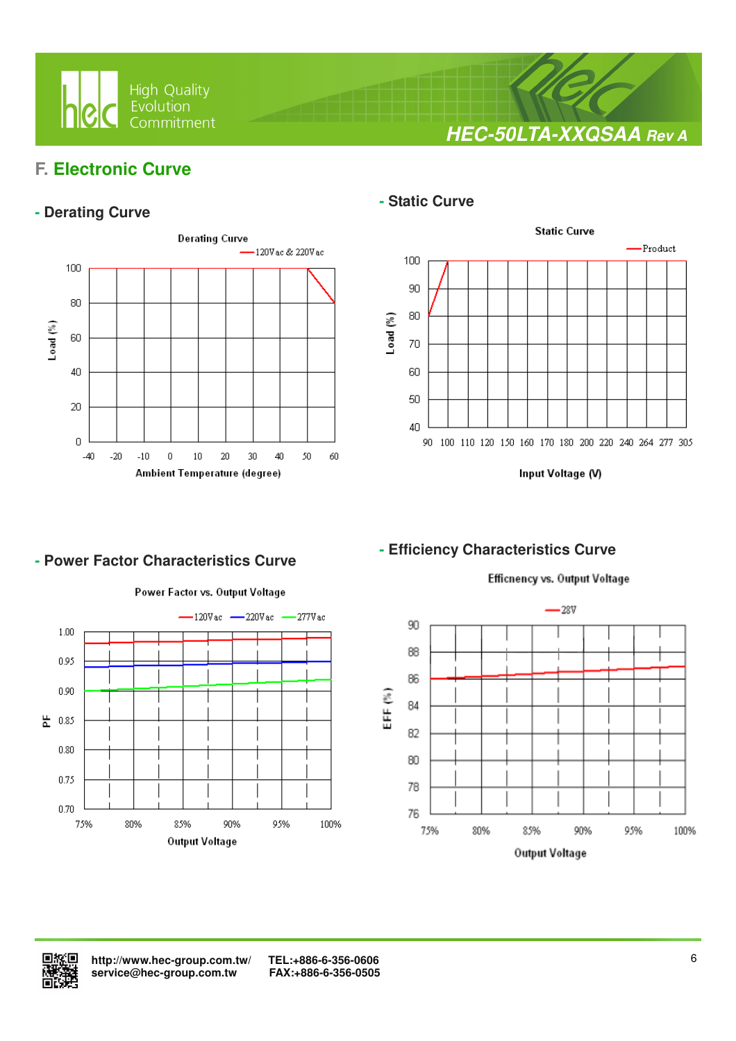

**HEC-50LTA-XXQSAA Rev A**

## **F. Electronic Curve**

### **- Derating Curve**



 $\overline{a}$ 

### **- Static Curve**



Input Voltage (V)

### **- Efficiency Characteristics Curve**



**- Power Factor Characteristics Curve** 

#### Efficnency vs. Output Voltage



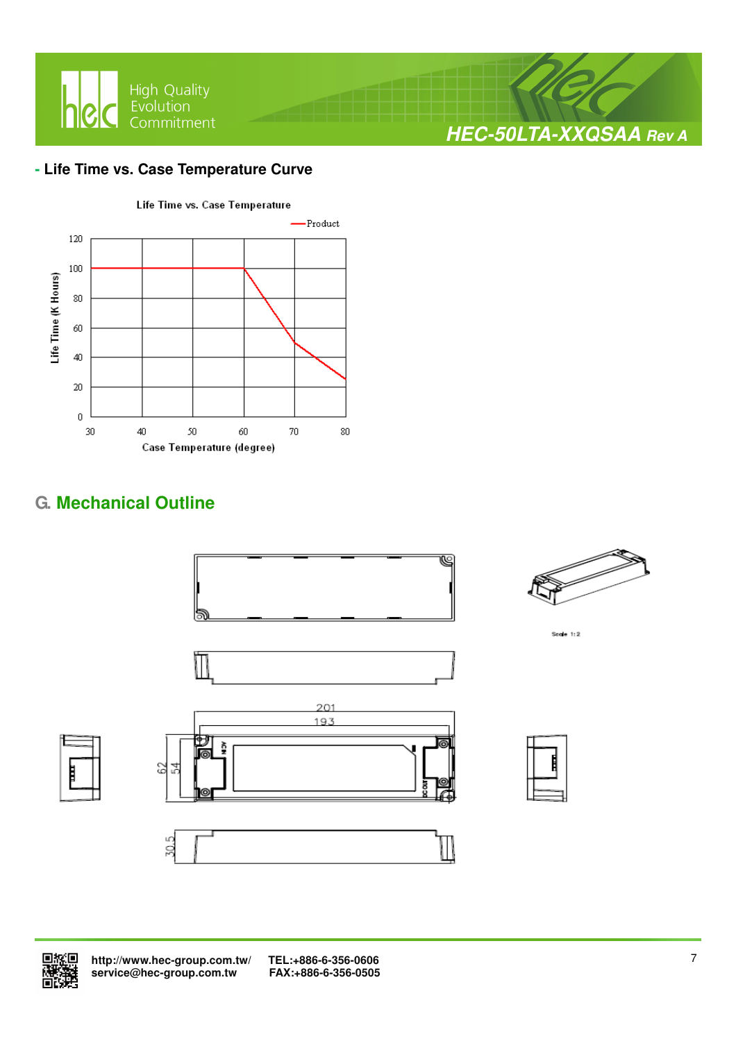

### **- Life Time vs. Case Temperature Curve**



# **G. Mechanical Outline**





 **http://www.hec-group.com.tw/ TEL:+886-6-356-0606**  service@hec-group.com.tw